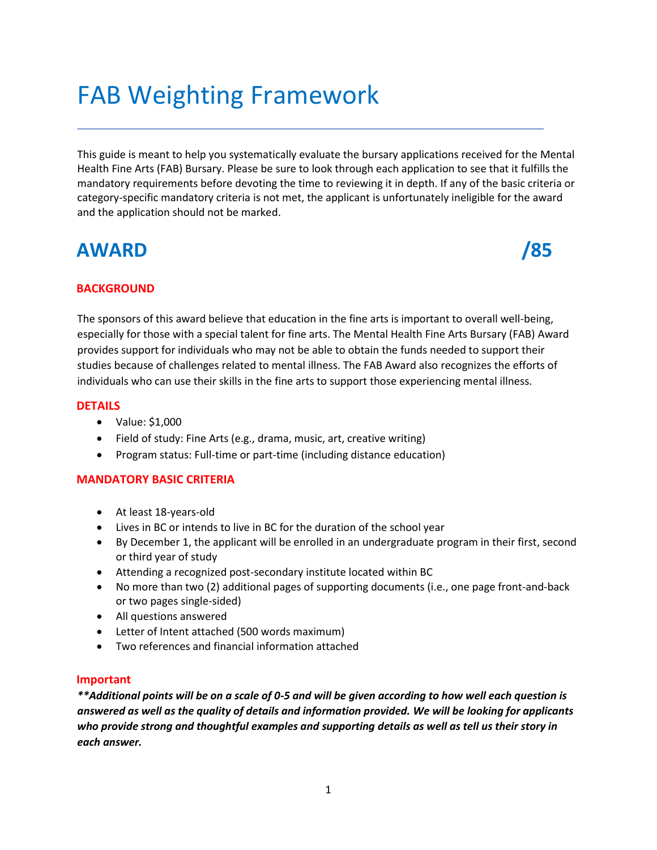# FAB Weighting Framework

This guide is meant to help you systematically evaluate the bursary applications received for the Mental Health Fine Arts (FAB) Bursary. Please be sure to look through each application to see that it fulfills the mandatory requirements before devoting the time to reviewing it in depth. If any of the basic criteria or category-specific mandatory criteria is not met, the applicant is unfortunately ineligible for the award and the application should not be marked.

# **AWARD /85**



### **BACKGROUND**

The sponsors of this award believe that education in the fine arts is important to overall well-being, especially for those with a special talent for fine arts. The Mental Health Fine Arts Bursary (FAB) Award provides support for individuals who may not be able to obtain the funds needed to support their studies because of challenges related to mental illness. The FAB Award also recognizes the efforts of individuals who can use their skills in the fine arts to support those experiencing mental illness.

### **DETAILS**

- Value: \$1,000
- Field of study: Fine Arts (e.g., drama, music, art, creative writing)
- Program status: Full-time or part-time (including distance education)

### **MANDATORY BASIC CRITERIA**

- At least 18-years-old
- Lives in BC or intends to live in BC for the duration of the school year
- By December 1, the applicant will be enrolled in an undergraduate program in their first, second or third year of study
- Attending a recognized post-secondary institute located within BC
- No more than two (2) additional pages of supporting documents (i.e., one page front-and-back or two pages single-sided)
- All questions answered
- Letter of Intent attached (500 words maximum)
- Two references and financial information attached

### **Important**

*\*\*Additional points will be on a scale of 0-5 and will be given according to how well each question is answered as well as the quality of details and information provided. We will be looking for applicants who provide strong and thoughtful examples and supporting details as well as tell us their story in each answer.*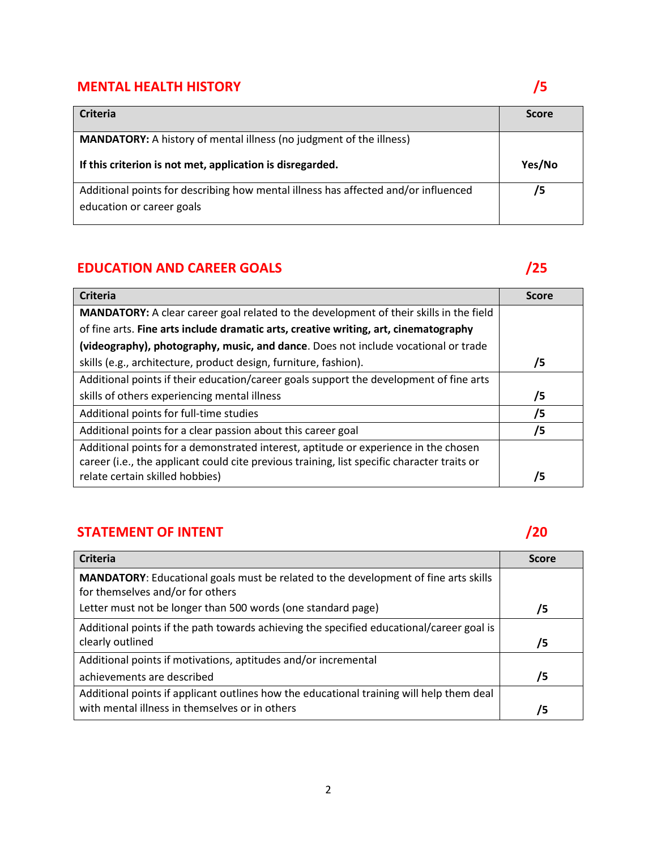# **MENTAL HEALTH HISTORY** *S*

| <b>Criteria</b>                                                                                                 | <b>Score</b> |
|-----------------------------------------------------------------------------------------------------------------|--------------|
| <b>MANDATORY:</b> A history of mental illness (no judgment of the illness)                                      |              |
| If this criterion is not met, application is disregarded.                                                       | Yes/No       |
| Additional points for describing how mental illness has affected and/or influenced<br>education or career goals | /5           |

# **EDUCATION AND CAREER GOALS** *CONTRACTION AND CAREER GOALS*

| <b>Criteria</b>                                                                               | <b>Score</b> |
|-----------------------------------------------------------------------------------------------|--------------|
| <b>MANDATORY:</b> A clear career goal related to the development of their skills in the field |              |
| of fine arts. Fine arts include dramatic arts, creative writing, art, cinematography          |              |
| (videography), photography, music, and dance. Does not include vocational or trade            |              |
| skills (e.g., architecture, product design, furniture, fashion).                              | /5           |
| Additional points if their education/career goals support the development of fine arts        |              |
| skills of others experiencing mental illness                                                  | /5           |
| Additional points for full-time studies                                                       | /5           |
| Additional points for a clear passion about this career goal                                  | /5           |
| Additional points for a demonstrated interest, aptitude or experience in the chosen           |              |
| career (i.e., the applicant could cite previous training, list specific character traits or   |              |
| relate certain skilled hobbies)                                                               | /5           |

### **STATEMENT OF INTENT 120 PERIODICAL STATEMENT 120**

| <b>Criteria</b>                                                                                                                | <b>Score</b> |
|--------------------------------------------------------------------------------------------------------------------------------|--------------|
| <b>MANDATORY:</b> Educational goals must be related to the development of fine arts skills<br>for themselves and/or for others |              |
| Letter must not be longer than 500 words (one standard page)                                                                   | /5           |
| Additional points if the path towards achieving the specified educational/career goal is                                       |              |
| clearly outlined                                                                                                               | /5           |
| Additional points if motivations, aptitudes and/or incremental                                                                 |              |
| achievements are described                                                                                                     | 75           |
| Additional points if applicant outlines how the educational training will help them deal                                       |              |
| with mental illness in themselves or in others                                                                                 | /5           |